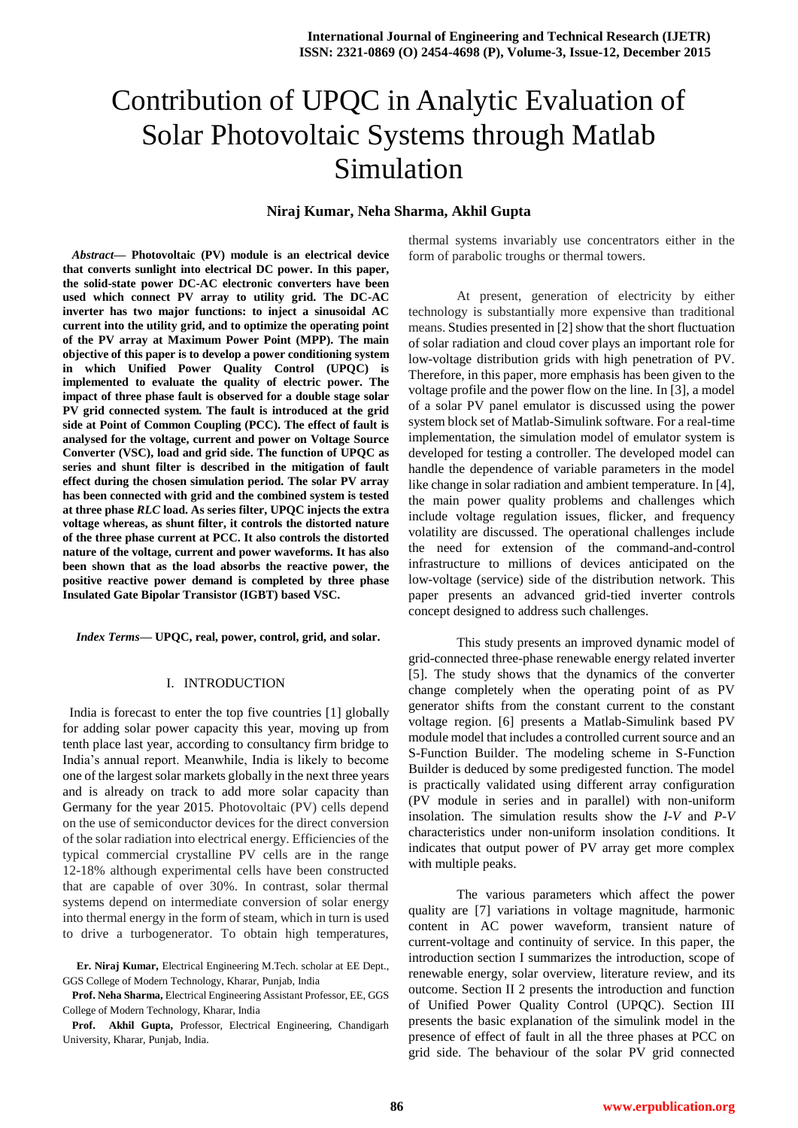# Contribution of UPQC in Analytic Evaluation of Solar Photovoltaic Systems through Matlab Simulation

## **Niraj Kumar, Neha Sharma, Akhil Gupta**

*Abstract***— Photovoltaic (PV) module is an electrical device that converts sunlight into electrical DC power. In this paper, the solid-state power DC-AC electronic converters have been used which connect PV array to utility grid. The DC-AC inverter has two major functions: to inject a sinusoidal AC current into the utility grid, and to optimize the operating point of the PV array at Maximum Power Point (MPP). The main objective of this paper is to develop a power conditioning system in which Unified Power Quality Control (UPQC) is implemented to evaluate the quality of electric power. The impact of three phase fault is observed for a double stage solar PV grid connected system. The fault is introduced at the grid side at Point of Common Coupling (PCC). The effect of fault is analysed for the voltage, current and power on Voltage Source Converter (VSC), load and grid side. The function of UPQC as series and shunt filter is described in the mitigation of fault effect during the chosen simulation period. The solar PV array has been connected with grid and the combined system is tested at three phase** *RLC* **load. As series filter, UPQC injects the extra voltage whereas, as shunt filter, it controls the distorted nature of the three phase current at PCC. It also controls the distorted nature of the voltage, current and power waveforms. It has also been shown that as the load absorbs the reactive power, the positive reactive power demand is completed by three phase Insulated Gate Bipolar Transistor (IGBT) based VSC.**

*Index Terms***— UPQC, real, power, control, grid, and solar.**

#### I. INTRODUCTION

 India is forecast to enter the top five countries [1] globally for adding solar power capacity this year, moving up from tenth place last year, according to consultancy firm bridge to India's annual report. Meanwhile, India is likely to become one of the largest solar markets globally in the next three years and is already on track to add more solar capacity than Germany for the year 2015. Photovoltaic (PV) cells depend on the use of semiconductor devices for the direct conversion of the solar radiation into electrical energy. Efficiencies of the typical commercial crystalline PV cells are in the range 12-18% although experimental cells have been constructed that are capable of over 30%. In contrast, solar thermal systems depend on intermediate conversion of solar energy into thermal energy in the form of steam, which in turn is used to drive a turbogenerator. To obtain high temperatures,

**Er. Niraj Kumar,** Electrical Engineering M.Tech. scholar at EE Dept., GGS College of Modern Technology, Kharar, Punjab, India

**Prof. Neha Sharma,** Electrical Engineering Assistant Professor, EE, GGS College of Modern Technology, Kharar, India

**Prof. Akhil Gupta,** Professor, Electrical Engineering, Chandigarh University, Kharar, Punjab, India.

thermal systems invariably use concentrators either in the form of parabolic troughs or thermal towers.

At present, generation of electricity by either technology is substantially more expensive than traditional means. Studies presented in [2] show that the short fluctuation of solar radiation and cloud cover plays an important role for low-voltage distribution grids with high penetration of PV. Therefore, in this paper, more emphasis has been given to the voltage profile and the power flow on the line. In [3], a model of a solar PV panel emulator is discussed using the power system block set of Matlab-Simulink software. For a real-time implementation, the simulation model of emulator system is developed for testing a controller. The developed model can handle the dependence of variable parameters in the model like change in solar radiation and ambient temperature. In [4], the main power quality problems and challenges which include voltage regulation issues, flicker, and frequency volatility are discussed. The operational challenges include the need for extension of the command-and-control infrastructure to millions of devices anticipated on the low-voltage (service) side of the distribution network. This paper presents an advanced grid-tied inverter controls concept designed to address such challenges.

This study presents an improved dynamic model of grid-connected three-phase renewable energy related inverter [5]. The study shows that the dynamics of the converter change completely when the operating point of as PV generator shifts from the constant current to the constant voltage region. [6] presents a Matlab-Simulink based PV module model that includes a controlled current source and an S-Function Builder. The modeling scheme in S-Function Builder is deduced by some predigested function. The model is practically validated using different array configuration (PV module in series and in parallel) with non-uniform insolation. The simulation results show the *I-V* and *P-V*  characteristics under non-uniform insolation conditions. It indicates that output power of PV array get more complex with multiple peaks.

The various parameters which affect the power quality are [7] variations in voltage magnitude, harmonic content in AC power waveform, transient nature of current-voltage and continuity of service. In this paper, the introduction section I summarizes the introduction, scope of renewable energy, solar overview, literature review, and its outcome. Section II 2 presents the introduction and function of Unified Power Quality Control (UPQC). Section III presents the basic explanation of the simulink model in the presence of effect of fault in all the three phases at PCC on grid side. The behaviour of the solar PV grid connected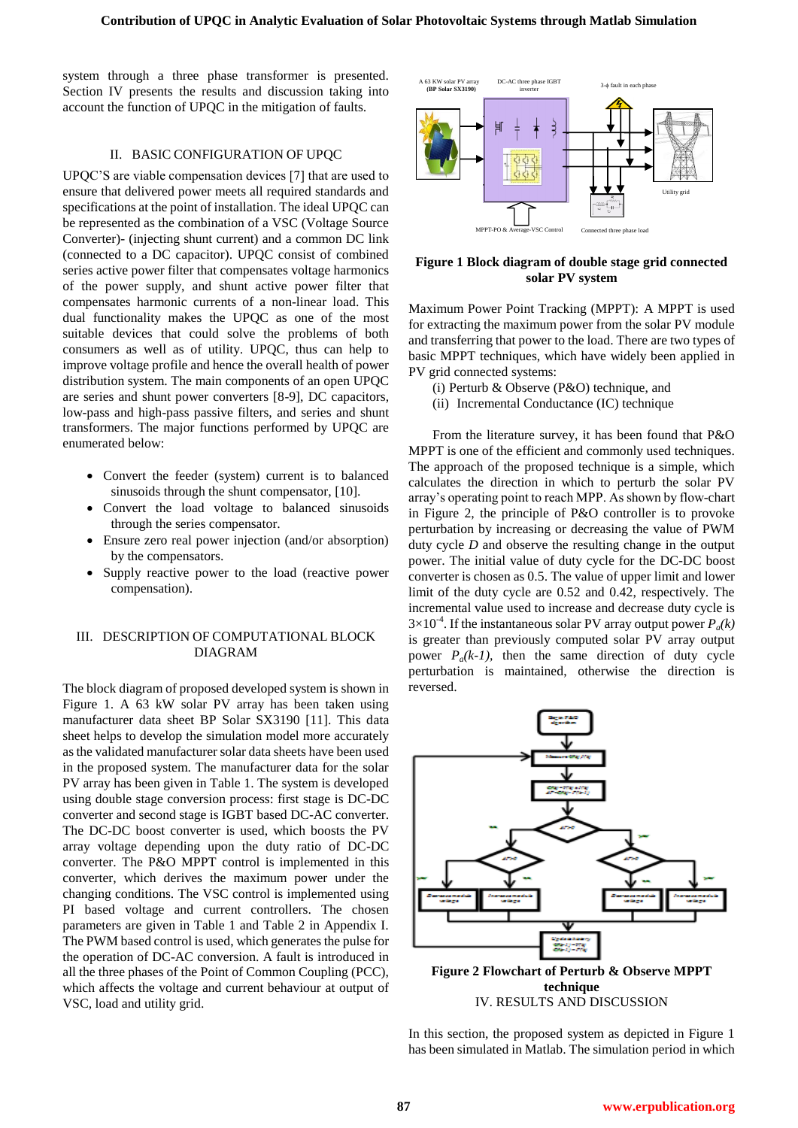system through a three phase transformer is presented. Section IV presents the results and discussion taking into account the function of UPQC in the mitigation of faults.

## II. BASIC CONFIGURATION OF UPQC

UPQC'S are viable compensation devices [7] that are used to ensure that delivered power meets all required standards and specifications at the point of installation. The ideal UPQC can be represented as the combination of a VSC (Voltage Source Converter)- (injecting shunt current) and a common DC link (connected to a DC capacitor). UPQC consist of combined series active power filter that compensates voltage harmonics of the power supply, and shunt active power filter that compensates harmonic currents of a non-linear load. This dual functionality makes the UPQC as one of the most suitable devices that could solve the problems of both consumers as well as of utility. UPQC, thus can help to improve voltage profile and hence the overall health of power distribution system. The main components of an open UPQC are series and shunt power converters [8-9], DC capacitors, low-pass and high-pass passive filters, and series and shunt transformers. The major functions performed by UPQC are enumerated below:

- Convert the feeder (system) current is to balanced sinusoids through the shunt compensator, [10].
- Convert the load voltage to balanced sinusoids through the series compensator.
- Ensure zero real power injection (and/or absorption) by the compensators.
- Supply reactive power to the load (reactive power compensation).

#### III. DESCRIPTION OF COMPUTATIONAL BLOCK DIAGRAM

The block diagram of proposed developed system is shown in Figure 1. A 63 kW solar PV array has been taken using manufacturer data sheet BP Solar SX3190 [11]. This data sheet helps to develop the simulation model more accurately as the validated manufacturer solar data sheets have been used in the proposed system. The manufacturer data for the solar PV array has been given in Table 1. The system is developed using double stage conversion process: first stage is DC-DC converter and second stage is IGBT based DC-AC converter. The DC-DC boost converter is used, which boosts the PV array voltage depending upon the duty ratio of DC-DC converter. The P&O MPPT control is implemented in this converter, which derives the maximum power under the changing conditions. The VSC control is implemented using PI based voltage and current controllers. The chosen parameters are given in Table 1 and Table 2 in Appendix I. The PWM based control is used, which generates the pulse for the operation of DC-AC conversion. A fault is introduced in all the three phases of the Point of Common Coupling (PCC), which affects the voltage and current behaviour at output of VSC, load and utility grid.



#### **Figure 1 Block diagram of double stage grid connected solar PV system**

Maximum Power Point Tracking (MPPT): A MPPT is used for extracting the maximum power from the solar PV module and transferring that power to the load. There are two types of basic MPPT techniques, which have widely been applied in PV grid connected systems:

- (i) Perturb & Observe (P&O) technique, and
- (ii) Incremental Conductance (IC) technique

From the literature survey, it has been found that P&O MPPT is one of the efficient and commonly used techniques. The approach of the proposed technique is a simple, which calculates the direction in which to perturb the solar PV array's operating point to reach MPP. As shown by flow-chart in Figure 2, the principle of P&O controller is to provoke perturbation by increasing or decreasing the value of PWM duty cycle *D* and observe the resulting change in the output power. The initial value of duty cycle for the DC-DC boost converter is chosen as 0.5. The value of upper limit and lower limit of the duty cycle are 0.52 and 0.42, respectively. The incremental value used to increase and decrease duty cycle is  $3 \times 10^{-4}$ . If the instantaneous solar PV array output power  $P_a(k)$ is greater than previously computed solar PV array output power  $P_a(k-1)$ , then the same direction of duty cycle perturbation is maintained, otherwise the direction is reversed.



IV. RESULTS AND DISCUSSION

In this section, the proposed system as depicted in Figure 1 has been simulated in Matlab. The simulation period in which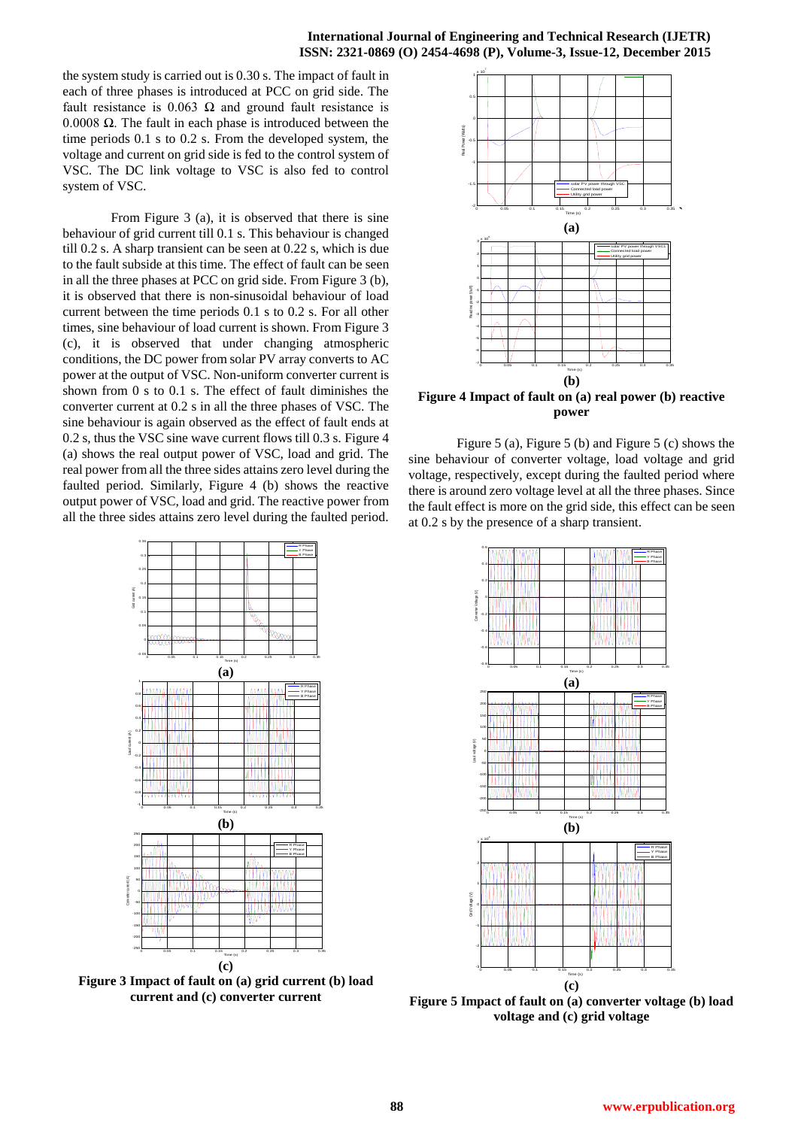the system study is carried out is 0.30 s. The impact of fault in each of three phases is introduced at PCC on grid side. The fault resistance is 0.063  $\Omega$  and ground fault resistance is 0.0008 Ω. The fault in each phase is introduced between the time periods 0.1 s to 0.2 s. From the developed system, the voltage and current on grid side is fed to the control system of VSC. The DC link voltage to VSC is also fed to control system of VSC.

From Figure 3 (a), it is observed that there is sine behaviour of grid current till 0.1 s. This behaviour is changed till 0.2 s. A sharp transient can be seen at 0.22 s, which is due to the fault subside at this time. The effect of fault can be seen in all the three phases at PCC on grid side. From Figure 3 (b), it is observed that there is non-sinusoidal behaviour of load current between the time periods 0.1 s to 0.2 s. For all other times, sine behaviour of load current is shown. From Figure 3 (c), it is observed that under changing atmospheric conditions, the DC power from solar PV array converts to AC power at the output of VSC. Non-uniform converter current is shown from 0 s to 0.1 s. The effect of fault diminishes the converter current at 0.2 s in all the three phases of VSC. The sine behaviour is again observed as the effect of fault ends at 0.2 s, thus the VSC sine wave current flows till 0.3 s. Figure 4 (a) shows the real output power of VSC, load and grid. The real power from all the three sides attains zero level during the faulted period. Similarly, Figure 4 (b) shows the reactive output power of VSC, load and grid. The reactive power from all the three sides attains zero level during the faulted period.



**Figure 4 Impact of fault on (a) real power (b) reactive power**

Figure 5 (a), Figure 5 (b) and Figure 5 (c) shows the sine behaviour of converter voltage, load voltage and grid voltage, respectively, except during the faulted period where there is around zero voltage level at all the three phases. Since the fault effect is more on the grid side, this effect can be seen at 0.2 s by the presence of a sharp transient.



**Figure 5 Impact of fault on (a) converter voltage (b) load voltage and (c) grid voltage**



**Figure 3 Impact of fault on (a) grid current (b) load current and (c) converter current**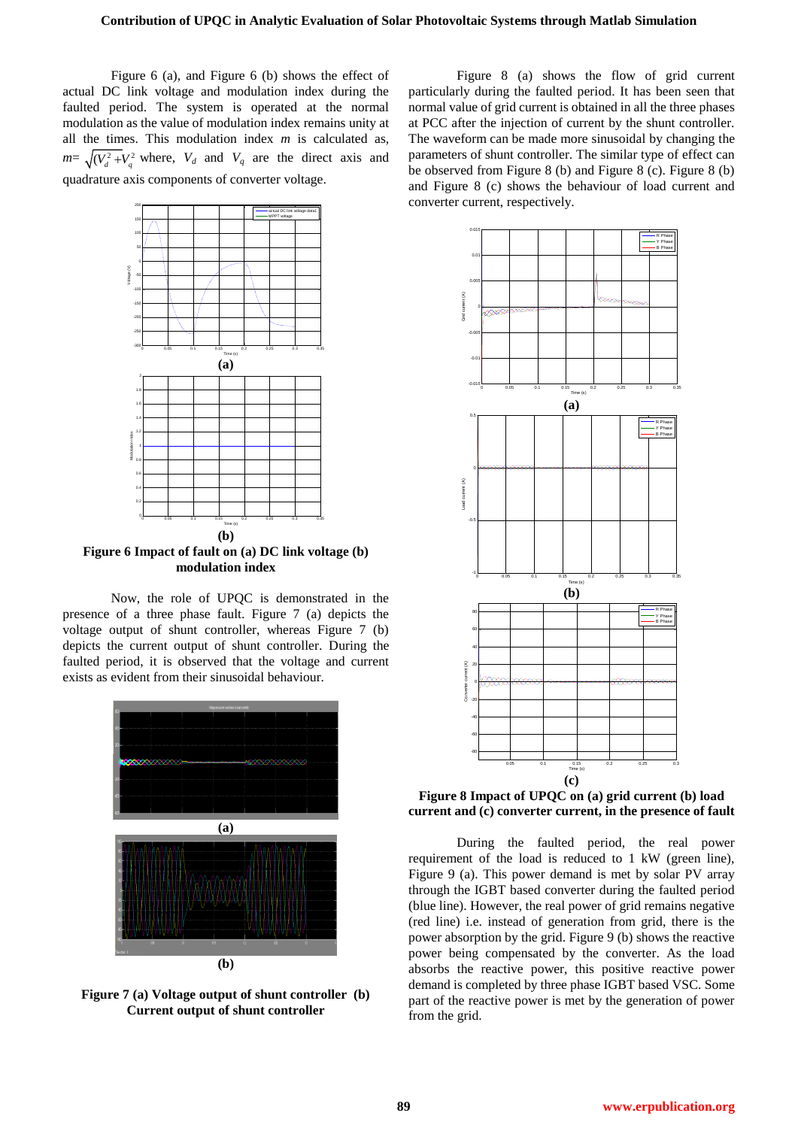Figure 6 (a), and Figure 6 (b) shows the effect of actual DC link voltage and modulation index during the faulted period. The system is operated at the normal modulation as the value of modulation index remains unity at all the times. This modulation index *m* is calculated as,  $m = \sqrt{(V_d^2 + V_g^2)}$  where,  $V_d$  and  $V_q$  are the direct axis and quadrature axis components of converter voltage.



**Figure 6 Impact of fault on (a) DC link voltage (b) modulation index**

Now, the role of UPQC is demonstrated in the presence of a three phase fault. Figure 7 (a) depicts the voltage output of shunt controller, whereas Figure 7 (b) depicts the current output of shunt controller. During the faulted period, it is observed that the voltage and current exists as evident from their sinusoidal behaviour.



**Figure 7 (a) Voltage output of shunt controller (b) Current output of shunt controller**

Figure 8 (a) shows the flow of grid current particularly during the faulted period. It has been seen that normal value of grid current is obtained in all the three phases at PCC after the injection of current by the shunt controller. The waveform can be made more sinusoidal by changing the parameters of shunt controller. The similar type of effect can be observed from Figure 8 (b) and Figure 8 (c). Figure 8 (b) and Figure 8 (c) shows the behaviour of load current and converter current, respectively.



**Figure 8 Impact of UPQC on (a) grid current (b) load current and (c) converter current, in the presence of fault**

During the faulted period, the real power requirement of the load is reduced to 1 kW (green line), Figure 9 (a). This power demand is met by solar PV array through the IGBT based converter during the faulted period (blue line). However, the real power of grid remains negative (red line) i.e. instead of generation from grid, there is the power absorption by the grid. Figure 9 (b) shows the reactive power being compensated by the converter. As the load absorbs the reactive power, this positive reactive power demand is completed by three phase IGBT based VSC. Some part of the reactive power is met by the generation of power from the grid.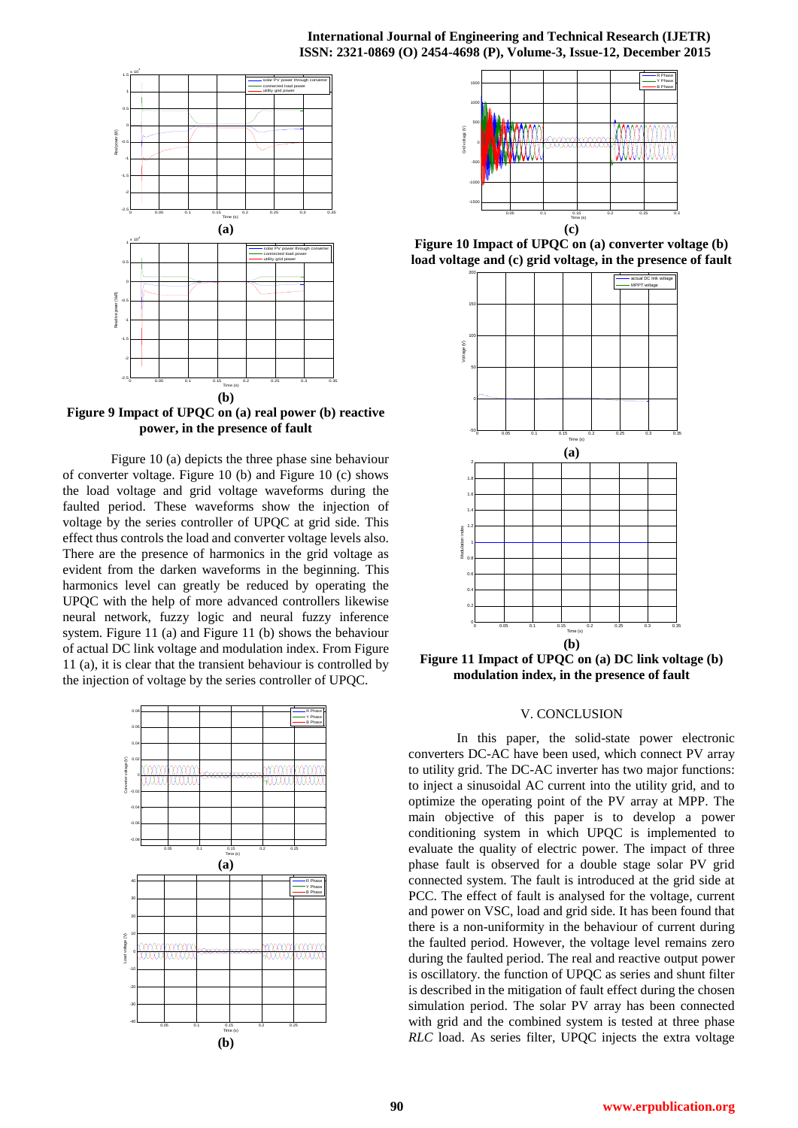#### **International Journal of Engineering and Technical Research (IJETR) ISSN: 2321-0869 (O) 2454-4698 (P), Volume-3, Issue-12, December 2015**



**Figure 9 Impact of UPQC on (a) real power (b) reactive power, in the presence of fault**

Figure 10 (a) depicts the three phase sine behaviour of converter voltage. Figure 10 (b) and Figure 10 (c) shows the load voltage and grid voltage waveforms during the faulted period. These waveforms show the injection of voltage by the series controller of UPQC at grid side. This effect thus controls the load and converter voltage levels also. There are the presence of harmonics in the grid voltage as evident from the darken waveforms in the beginning. This harmonics level can greatly be reduced by operating the UPQC with the help of more advanced controllers likewise neural network, fuzzy logic and neural fuzzy inference system. Figure 11 (a) and Figure 11 (b) shows the behaviour of actual DC link voltage and modulation index. From Figure 11 (a), it is clear that the transient behaviour is controlled by the injection of voltage by the series controller of UPQC.





**Figure 10 Impact of UPQC on (a) converter voltage (b) load voltage and (c) grid voltage, in the presence of fault**



**Figure 11 Impact of UPQC on (a) DC link voltage (b) modulation index, in the presence of fault**

## V. CONCLUSION

In this paper, the solid-state power electronic converters DC-AC have been used, which connect PV array to utility grid. The DC-AC inverter has two major functions: to inject a sinusoidal AC current into the utility grid, and to optimize the operating point of the PV array at MPP. The main objective of this paper is to develop a power conditioning system in which UPQC is implemented to evaluate the quality of electric power. The impact of three phase fault is observed for a double stage solar PV grid connected system. The fault is introduced at the grid side at PCC. The effect of fault is analysed for the voltage, current and power on VSC, load and grid side. It has been found that there is a non-uniformity in the behaviour of current during the faulted period. However, the voltage level remains zero during the faulted period. The real and reactive output power is oscillatory. the function of UPQC as series and shunt filter is described in the mitigation of fault effect during the chosen simulation period. The solar PV array has been connected with grid and the combined system is tested at three phase *RLC* load. As series filter, UPQC injects the extra voltage